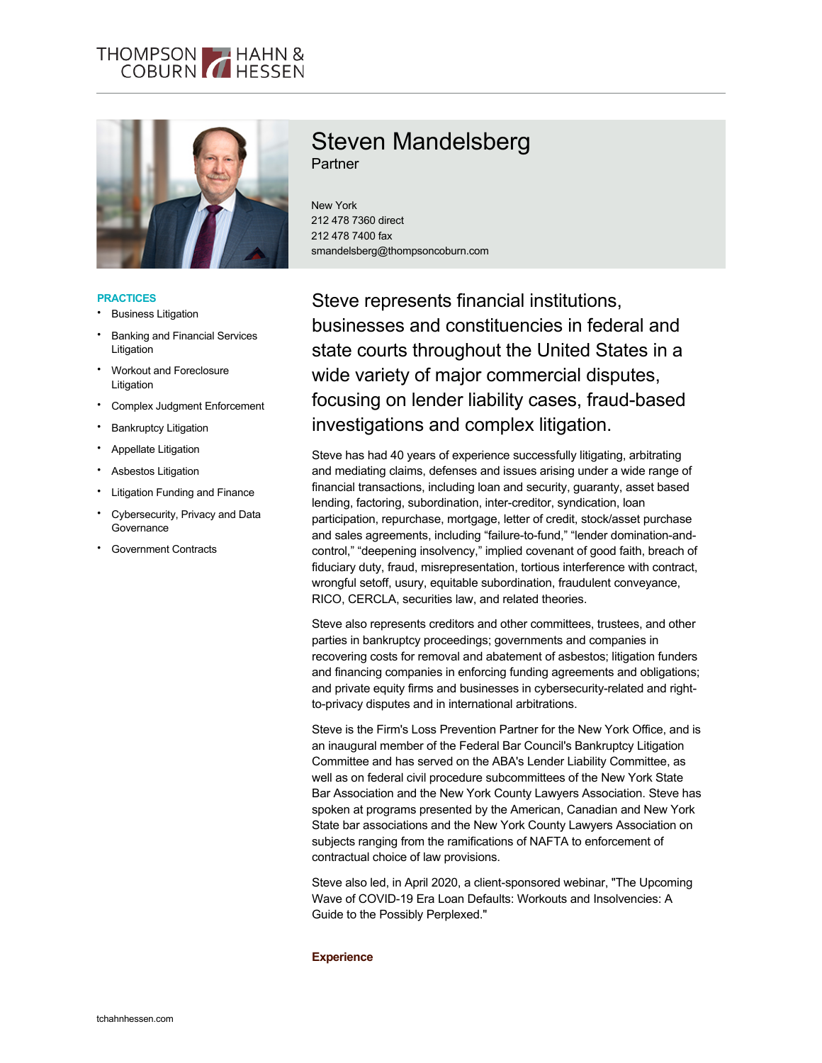#### THOMPSON HAHN & **COBURN ALLESSEN**



## **PRACTICES**

- **Business Litigation**
- Banking and Financial Services Litigation
- Workout and Foreclosure Litigation
- Complex Judgment Enforcement
- **Bankruptcy Litigation**
- Appellate Litigation
- Asbestos Litigation
- Litigation Funding and Finance
- Cybersecurity, Privacy and Data **Governance**
- Government Contracts

# Steven Mandelsberg **Partner**

New York 212 478 7360 direct 212 478 7400 fax smandelsberg@thompsoncoburn.com

Steve represents financial institutions, businesses and constituencies in federal and state courts throughout the United States in a wide variety of major commercial disputes, focusing on lender liability cases, fraud-based investigations and complex litigation.

Steve has had 40 years of experience successfully litigating, arbitrating and mediating claims, defenses and issues arising under a wide range of financial transactions, including loan and security, guaranty, asset based lending, factoring, subordination, inter-creditor, syndication, loan participation, repurchase, mortgage, letter of credit, stock/asset purchase and sales agreements, including "failure-to-fund," "lender domination-andcontrol," "deepening insolvency," implied covenant of good faith, breach of fiduciary duty, fraud, misrepresentation, tortious interference with contract, wrongful setoff, usury, equitable subordination, fraudulent conveyance, RICO, CERCLA, securities law, and related theories.

Steve also represents creditors and other committees, trustees, and other parties in bankruptcy proceedings; governments and companies in recovering costs for removal and abatement of asbestos; litigation funders and financing companies in enforcing funding agreements and obligations; and private equity firms and businesses in cybersecurity-related and rightto-privacy disputes and in international arbitrations.

Steve is the Firm's Loss Prevention Partner for the New York Office, and is an inaugural member of the Federal Bar Council's Bankruptcy Litigation Committee and has served on the ABA's Lender Liability Committee, as well as on federal civil procedure subcommittees of the New York State Bar Association and the New York County Lawyers Association. Steve has spoken at programs presented by the American, Canadian and New York State bar associations and the New York County Lawyers Association on subjects ranging from the ramifications of NAFTA to enforcement of contractual choice of law provisions.

Steve also led, in April 2020, a client-sponsored webinar, "The Upcoming Wave of COVID-19 Era Loan Defaults: Workouts and Insolvencies: A Guide to the Possibly Perplexed."

#### **Experience**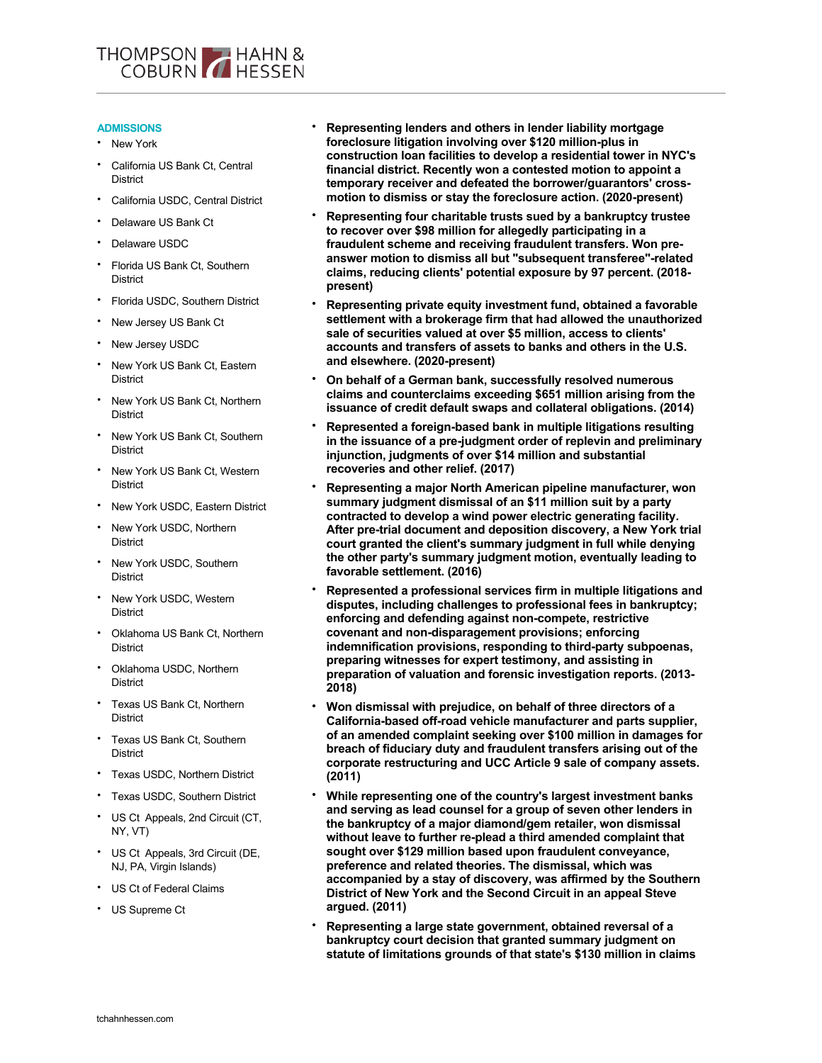

# **ADMISSIONS**

- New York
- California US Bank Ct, Central **District**
- California USDC, Central District
- Delaware US Bank Ct
- Delaware USDC
- Florida US Bank Ct, Southern **District**
- Florida USDC, Southern District
- New Jersey US Bank Ct
- New Jersey USDC
- New York US Bank Ct, Eastern **District**
- New York US Bank Ct, Northern **District**
- New York US Bank Ct, Southern **District**
- New York US Bank Ct, Western **District**
- New York USDC, Eastern District
- New York USDC, Northern **District**
- New York USDC, Southern **District**
- New York USDC, Western **District**
- Oklahoma US Bank Ct, Northern **District**
- Oklahoma USDC, Northern **District**
- Texas US Bank Ct, Northern **District**
- Texas US Bank Ct, Southern **District**
- Texas USDC, Northern District
- Texas USDC, Southern District
- US Ct Appeals, 2nd Circuit (CT, NY, VT)
- US Ct Appeals, 3rd Circuit (DE, NJ, PA, Virgin Islands)
- US Ct of Federal Claims
- US Supreme Ct
- **Representing lenders and others in lender liability mortgage foreclosure litigation involving over \$120 million-plus in construction loan facilities to develop a residential tower in NYC's financial district. Recently won a contested motion to appoint a temporary receiver and defeated the borrower/guarantors' crossmotion to dismiss or stay the foreclosure action. (2020-present)**
- **Representing four charitable trusts sued by a bankruptcy trustee to recover over \$98 million for allegedly participating in a fraudulent scheme and receiving fraudulent transfers. Won preanswer motion to dismiss all but "subsequent transferee"-related claims, reducing clients' potential exposure by 97 percent. (2018 present)**
- **Representing private equity investment fund, obtained a favorable settlement with a brokerage firm that had allowed the unauthorized sale of securities valued at over \$5 million, access to clients' accounts and transfers of assets to banks and others in the U.S. and elsewhere. (2020-present)**
- **On behalf of a German bank, successfully resolved numerous claims and counterclaims exceeding \$651 million arising from the issuance of credit default swaps and collateral obligations. (2014)**
- **Represented a foreign-based bank in multiple litigations resulting in the issuance of a pre-judgment order of replevin and preliminary injunction, judgments of over \$14 million and substantial recoveries and other relief. (2017)**
- **Representing a major North American pipeline manufacturer, won summary judgment dismissal of an \$11 million suit by a party contracted to develop a wind power electric generating facility. After pre-trial document and deposition discovery, a New York trial court granted the client's summary judgment in full while denying the other party's summary judgment motion, eventually leading to favorable settlement. (2016)**
- **Represented a professional services firm in multiple litigations and disputes, including challenges to professional fees in bankruptcy; enforcing and defending against non-compete, restrictive covenant and non-disparagement provisions; enforcing indemnification provisions, responding to third-party subpoenas, preparing witnesses for expert testimony, and assisting in preparation of valuation and forensic investigation reports. (2013- 2018)**
- **Won dismissal with prejudice, on behalf of three directors of a California-based off-road vehicle manufacturer and parts supplier, of an amended complaint seeking over \$100 million in damages for breach of fiduciary duty and fraudulent transfers arising out of the corporate restructuring and UCC Article 9 sale of company assets. (2011)**
- **While representing one of the country's largest investment banks and serving as lead counsel for a group of seven other lenders in the bankruptcy of a major diamond/gem retailer, won dismissal without leave to further re-plead a third amended complaint that sought over \$129 million based upon fraudulent conveyance, preference and related theories. The dismissal, which was accompanied by a stay of discovery, was affirmed by the Southern District of New York and the Second Circuit in an appeal Steve argued. (2011)**
- **Representing a large state government, obtained reversal of a bankruptcy court decision that granted summary judgment on statute of limitations grounds of that state's \$130 million in claims**